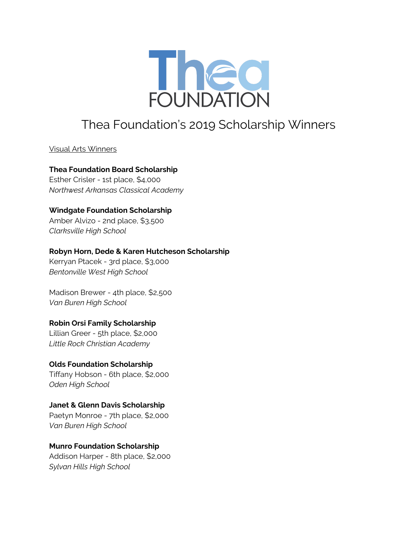

# Thea Foundation's 2019 Scholarship Winners

Visual Arts Winners

## **Thea Foundation Board Scholarship** Esther Crisler - 1st place, \$4,000

*Northwest Arkansas Classical Academy*

# **Windgate Foundation Scholarship**

Amber Alvizo - 2nd place, \$3,500 *Clarksville High School*

# **Robyn Horn, Dede & Karen Hutcheson Scholarship**

Kerryan Ptacek - 3rd place, \$3,000 *Bentonville West High School*

Madison Brewer - 4th place, \$2,500 *Van Buren High School*

# **Robin Orsi Family Scholarship**

Lillian Greer - 5th place, \$2,000 *Little Rock Christian Academy*

# **Olds Foundation Scholarship**

Tiffany Hobson - 6th place, \$2,000 *Oden High School*

# **Janet & Glenn Davis Scholarship**

Paetyn Monroe - 7th place, \$2,000 *Van Buren High School*

## **Munro Foundation Scholarship**

Addison Harper - 8th place, \$2,000 *Sylvan Hills High School*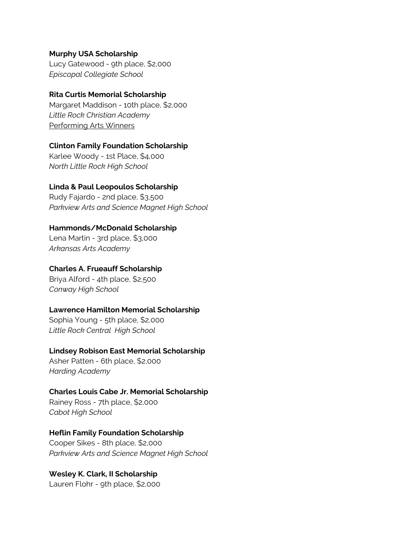#### **Murphy USA Scholarship**

Lucy Gatewood - 9th place, \$2,000 *Episcopal Collegiate School*

#### **Rita Curtis Memorial Scholarship**

Margaret Maddison - 10th place, \$2,000 *Little Rock Christian Academy* Performing Arts Winners

#### **Clinton Family Foundation Scholarship**

Karlee Woody - 1st Place, \$4,000 *North Little Rock High School*

## **Linda & Paul Leopoulos Scholarship**

Rudy Fajardo - 2nd place, \$3,500 *Parkview Arts and Science Magnet High School*

#### **Hammonds/McDonald Scholarship**

Lena Martin - 3rd place, \$3,000 *Arkansas Arts Academy*

#### **Charles A. Frueauff Scholarship**

Briya Alford - 4th place, \$2,500 *Conway High School*

## **Lawrence Hamilton Memorial Scholarship**

Sophia Young - 5th place, \$2,000 *Little Rock Central High School*

## **Lindsey Robison East Memorial Scholarship**

Asher Patten - 6th place, \$2,000 *Harding Academy*

## **Charles Louis Cabe Jr. Memorial Scholarship**

Rainey Ross - 7th place, \$2,000 *Cabot High School*

## **Heflin Family Foundation Scholarship**

Cooper Sikes - 8th place, \$2,000 *Parkview Arts and Science Magnet High School*

## **Wesley K. Clark, II Scholarship**

Lauren Flohr - 9th place, \$2,000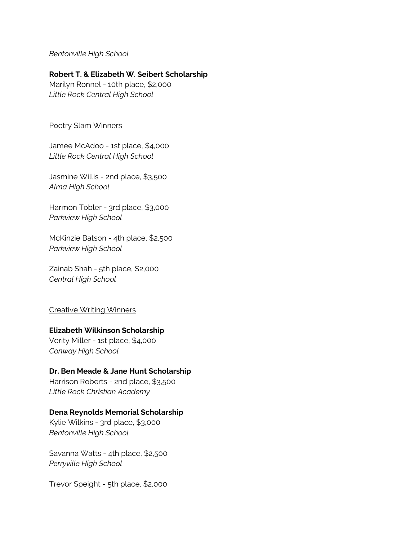## *Bentonville High School*

## **Robert T. & Elizabeth W. Seibert Scholarship**

Marilyn Ronnel - 10th place, \$2,000 *Little Rock Central High School*

#### Poetry Slam Winners

Jamee McAdoo - 1st place, \$4,000 *Little Rock Central High School*

Jasmine Willis - 2nd place, \$3,500 *Alma High School*

Harmon Tobler - 3rd place, \$3,000 *Parkview High School*

McKinzie Batson - 4th place, \$2,500 *Parkview High School*

Zainab Shah - 5th place, \$2,000 *Central High School*

#### Creative Writing Winners

#### **Elizabeth Wilkinson Scholarship**

Verity Miller - 1st place, \$4,000 *Conway High School*

#### **Dr. Ben Meade & Jane Hunt Scholarship**

Harrison Roberts - 2nd place, \$3,500 *Little Rock Christian Academy*

#### **Dena Reynolds Memorial Scholarship**

Kylie Wilkins - 3rd place, \$3,000 *Bentonville High School*

Savanna Watts - 4th place, \$2,500 *Perryville High School*

Trevor Speight - 5th place, \$2,000